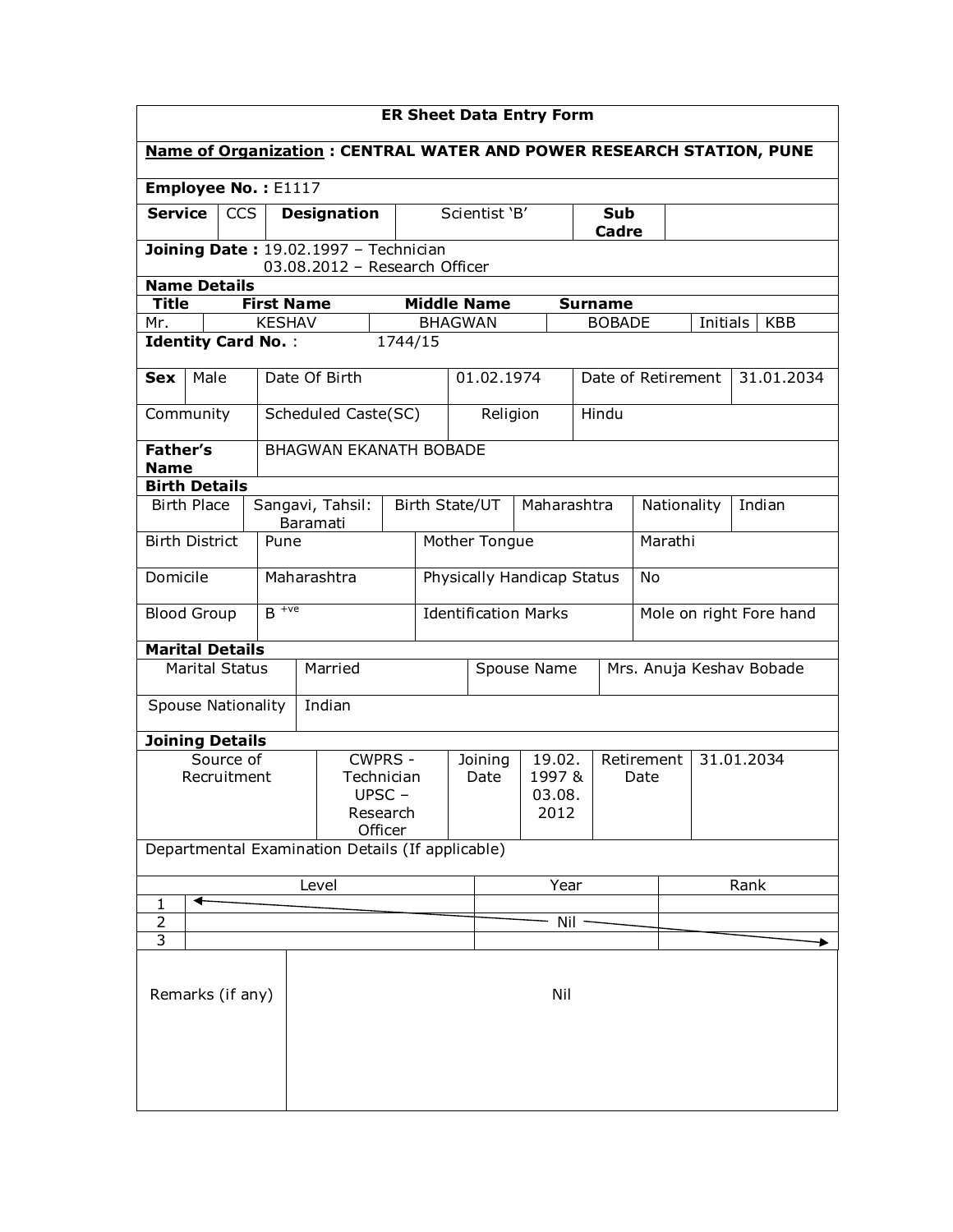|                                                                                                      | <b>ER Sheet Data Entry Form</b> |                           |                     |                    |                                                                        |                            |                             |                                         |             |                |                    |         |                    |                                                                             |
|------------------------------------------------------------------------------------------------------|---------------------------------|---------------------------|---------------------|--------------------|------------------------------------------------------------------------|----------------------------|-----------------------------|-----------------------------------------|-------------|----------------|--------------------|---------|--------------------|-----------------------------------------------------------------------------|
|                                                                                                      |                                 |                           |                     |                    |                                                                        |                            |                             |                                         |             |                |                    |         |                    | <b>Name of Organization: CENTRAL WATER AND POWER RESEARCH STATION, PUNE</b> |
|                                                                                                      |                                 |                           | Employee No.: E1117 |                    |                                                                        |                            |                             |                                         |             |                |                    |         |                    |                                                                             |
| Service                                                                                              |                                 | <b>CCS</b>                |                     | <b>Designation</b> |                                                                        |                            |                             | Scientist 'B'                           |             |                | Sub<br>Cadre       |         |                    |                                                                             |
|                                                                                                      |                                 |                           |                     |                    | Joining Date: 19.02.1997 - Technician<br>03.08.2012 - Research Officer |                            |                             |                                         |             |                |                    |         |                    |                                                                             |
| <b>Name Details</b>                                                                                  |                                 |                           |                     |                    |                                                                        |                            |                             |                                         |             |                |                    |         |                    |                                                                             |
| <b>Title</b><br>Mr.                                                                                  |                                 |                           | <b>First Name</b>   |                    |                                                                        | <b>Middle Name</b>         |                             |                                         |             | <b>Surname</b> |                    |         |                    | <b>KBB</b>                                                                  |
| <b>KESHAV</b><br><b>BHAGWAN</b><br><b>BOBADE</b><br>Initials<br><b>Identity Card No.:</b><br>1744/15 |                                 |                           |                     |                    |                                                                        |                            |                             |                                         |             |                |                    |         |                    |                                                                             |
|                                                                                                      |                                 |                           |                     |                    |                                                                        |                            |                             |                                         |             |                |                    |         |                    |                                                                             |
| <b>Sex</b>                                                                                           | Male                            |                           |                     | Date Of Birth      |                                                                        |                            |                             | 01.02.1974                              |             |                |                    |         | Date of Retirement | 31.01.2034                                                                  |
| Community                                                                                            |                                 |                           |                     |                    | Scheduled Caste(SC)                                                    |                            |                             | Religion                                |             | Hindu          |                    |         |                    |                                                                             |
| <b>Father's</b>                                                                                      |                                 |                           |                     |                    | <b>BHAGWAN EKANATH BOBADE</b>                                          |                            |                             |                                         |             |                |                    |         |                    |                                                                             |
| <b>Name</b><br><b>Birth Details</b>                                                                  |                                 |                           |                     |                    |                                                                        |                            |                             |                                         |             |                |                    |         |                    |                                                                             |
|                                                                                                      | <b>Birth Place</b>              |                           |                     | Sangavi, Tahsil:   |                                                                        | Birth State/UT             |                             |                                         | Maharashtra |                |                    |         | Nationality        | Indian                                                                      |
| <b>Birth District</b>                                                                                |                                 |                           | Pune                | Baramati           |                                                                        |                            | Mother Tongue               |                                         |             |                |                    | Marathi |                    |                                                                             |
| Domicile                                                                                             |                                 |                           |                     | Maharashtra        |                                                                        | Physically Handicap Status |                             |                                         |             |                | No                 |         |                    |                                                                             |
| <b>Blood Group</b>                                                                                   |                                 |                           | $B$ <sup>+ve</sup>  |                    |                                                                        |                            | <b>Identification Marks</b> |                                         |             |                |                    |         |                    |                                                                             |
|                                                                                                      |                                 |                           |                     |                    |                                                                        |                            |                             | Mole on right Fore hand                 |             |                |                    |         |                    |                                                                             |
| <b>Marital Details</b>                                                                               |                                 | <b>Marital Status</b>     |                     | Married            |                                                                        |                            |                             | Spouse Name<br>Mrs. Anuja Keshav Bobade |             |                |                    |         |                    |                                                                             |
|                                                                                                      |                                 |                           |                     | Indian             |                                                                        |                            |                             |                                         |             |                |                    |         |                    |                                                                             |
|                                                                                                      |                                 | <b>Spouse Nationality</b> |                     |                    |                                                                        |                            |                             |                                         |             |                |                    |         |                    |                                                                             |
| <b>Joining Details</b>                                                                               |                                 |                           |                     |                    |                                                                        |                            |                             |                                         |             |                |                    |         |                    |                                                                             |
|                                                                                                      |                                 | Source of<br>Recruitment  |                     |                    | <b>CWPRS -</b><br>Technician                                           |                            |                             | 19.02.<br>Joining<br>1997 &<br>Date     |             |                | Retirement<br>Date |         | 31.01.2034         |                                                                             |
|                                                                                                      |                                 |                           |                     |                    | UPSC-                                                                  |                            |                             | 03.08.                                  |             |                |                    |         |                    |                                                                             |
|                                                                                                      |                                 |                           |                     |                    | Research<br>Officer                                                    |                            |                             |                                         | 2012        |                |                    |         |                    |                                                                             |
|                                                                                                      |                                 |                           |                     |                    | Departmental Examination Details (If applicable)                       |                            |                             |                                         |             |                |                    |         |                    |                                                                             |
|                                                                                                      |                                 |                           |                     | Level              |                                                                        |                            |                             | Year                                    |             |                | Rank               |         |                    |                                                                             |
| 1                                                                                                    | ◀                               |                           |                     |                    |                                                                        |                            |                             |                                         |             |                |                    |         |                    |                                                                             |
| $\overline{3}$                                                                                       | $\overline{2}$                  |                           |                     |                    |                                                                        |                            | Nil                         |                                         |             |                |                    |         |                    |                                                                             |
|                                                                                                      |                                 |                           |                     |                    |                                                                        |                            |                             |                                         |             |                |                    |         |                    |                                                                             |
|                                                                                                      | Remarks (if any)                |                           |                     |                    |                                                                        |                            | Nil                         |                                         |             |                |                    |         |                    |                                                                             |
|                                                                                                      |                                 |                           |                     |                    |                                                                        |                            |                             |                                         |             |                |                    |         |                    |                                                                             |
|                                                                                                      |                                 |                           |                     |                    |                                                                        |                            |                             |                                         |             |                |                    |         |                    |                                                                             |
|                                                                                                      |                                 |                           |                     |                    |                                                                        |                            |                             |                                         |             |                |                    |         |                    |                                                                             |
|                                                                                                      |                                 |                           |                     |                    |                                                                        |                            |                             |                                         |             |                |                    |         |                    |                                                                             |
|                                                                                                      |                                 |                           |                     |                    |                                                                        |                            |                             |                                         |             |                |                    |         |                    |                                                                             |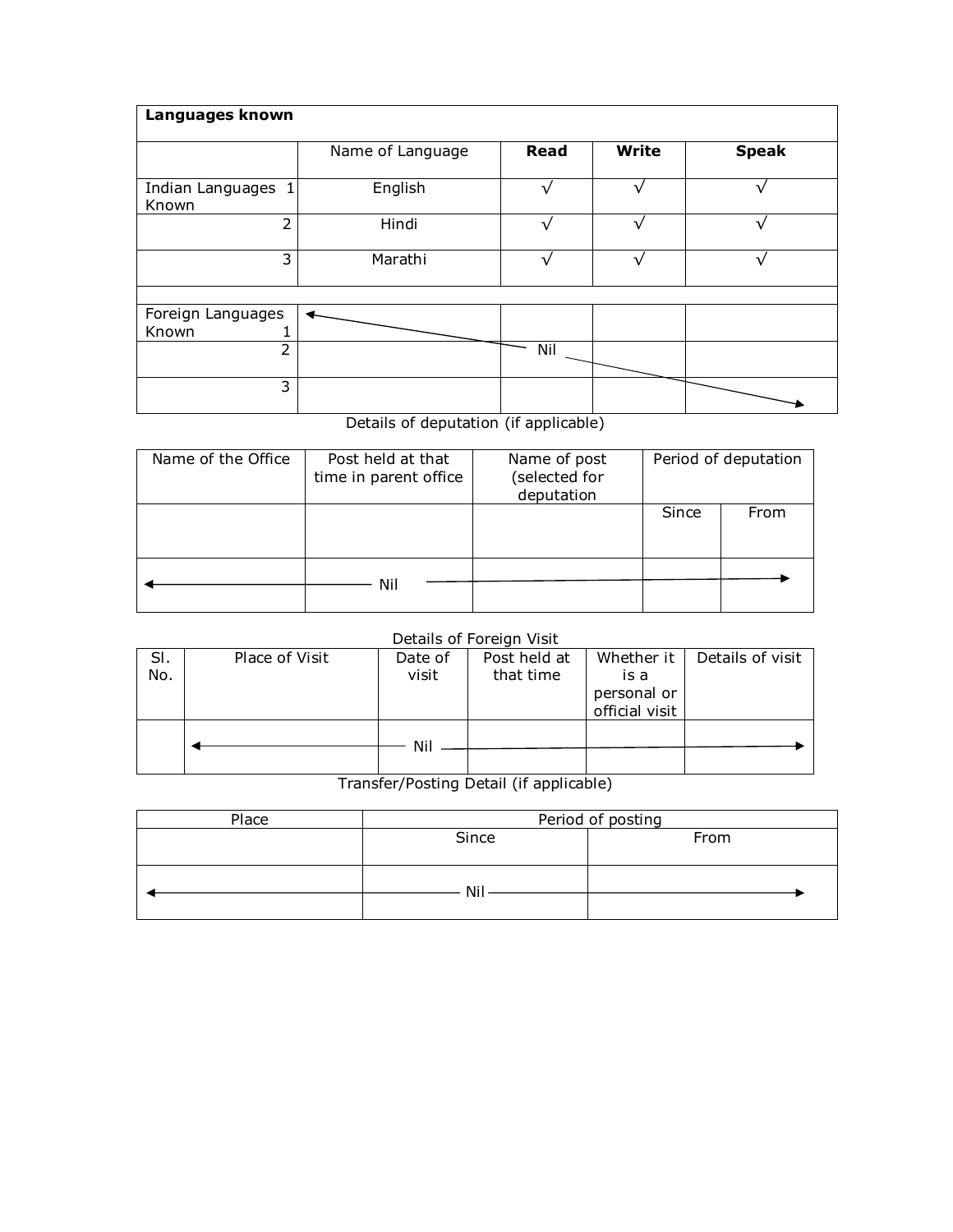| Languages known             |                  |             |              |              |  |  |  |  |  |  |  |
|-----------------------------|------------------|-------------|--------------|--------------|--|--|--|--|--|--|--|
|                             | Name of Language | <b>Read</b> | <b>Write</b> | <b>Speak</b> |  |  |  |  |  |  |  |
| Indian Languages 1<br>Known | English          | ٦           | ٦            | $\mathbf{v}$ |  |  |  |  |  |  |  |
| 2                           | Hindi            |             |              |              |  |  |  |  |  |  |  |
| 3                           | Marathi          |             |              |              |  |  |  |  |  |  |  |
|                             |                  |             |              |              |  |  |  |  |  |  |  |
| Foreign Languages<br>Known  |                  |             |              |              |  |  |  |  |  |  |  |
| 2                           |                  | Nil         |              |              |  |  |  |  |  |  |  |
| 3                           |                  |             |              |              |  |  |  |  |  |  |  |

## Details of deputation (if applicable)

| Name of the Office | Post held at that<br>time in parent office | Name of post<br>(selected for<br>deputation | Period of deputation |      |  |
|--------------------|--------------------------------------------|---------------------------------------------|----------------------|------|--|
|                    |                                            |                                             | Since                | From |  |
|                    | Nil                                        |                                             |                      |      |  |

### Details of Foreign Visit

|     |                |         | ____________________________ |                |                  |
|-----|----------------|---------|------------------------------|----------------|------------------|
| SI. | Place of Visit | Date of | Post held at                 | Whether it     | Details of visit |
| No. |                | visit   | that time                    | is a           |                  |
|     |                |         |                              | personal or    |                  |
|     |                |         |                              | official visit |                  |
|     |                |         |                              |                |                  |
|     |                | Nil     |                              |                |                  |
|     |                |         |                              |                |                  |
|     |                |         |                              |                |                  |

# Transfer/Posting Detail (if applicable)

| Place | Period of posting |      |  |  |  |
|-------|-------------------|------|--|--|--|
|       | Since             | From |  |  |  |
|       |                   |      |  |  |  |
|       |                   |      |  |  |  |
|       | Nil               |      |  |  |  |
|       |                   |      |  |  |  |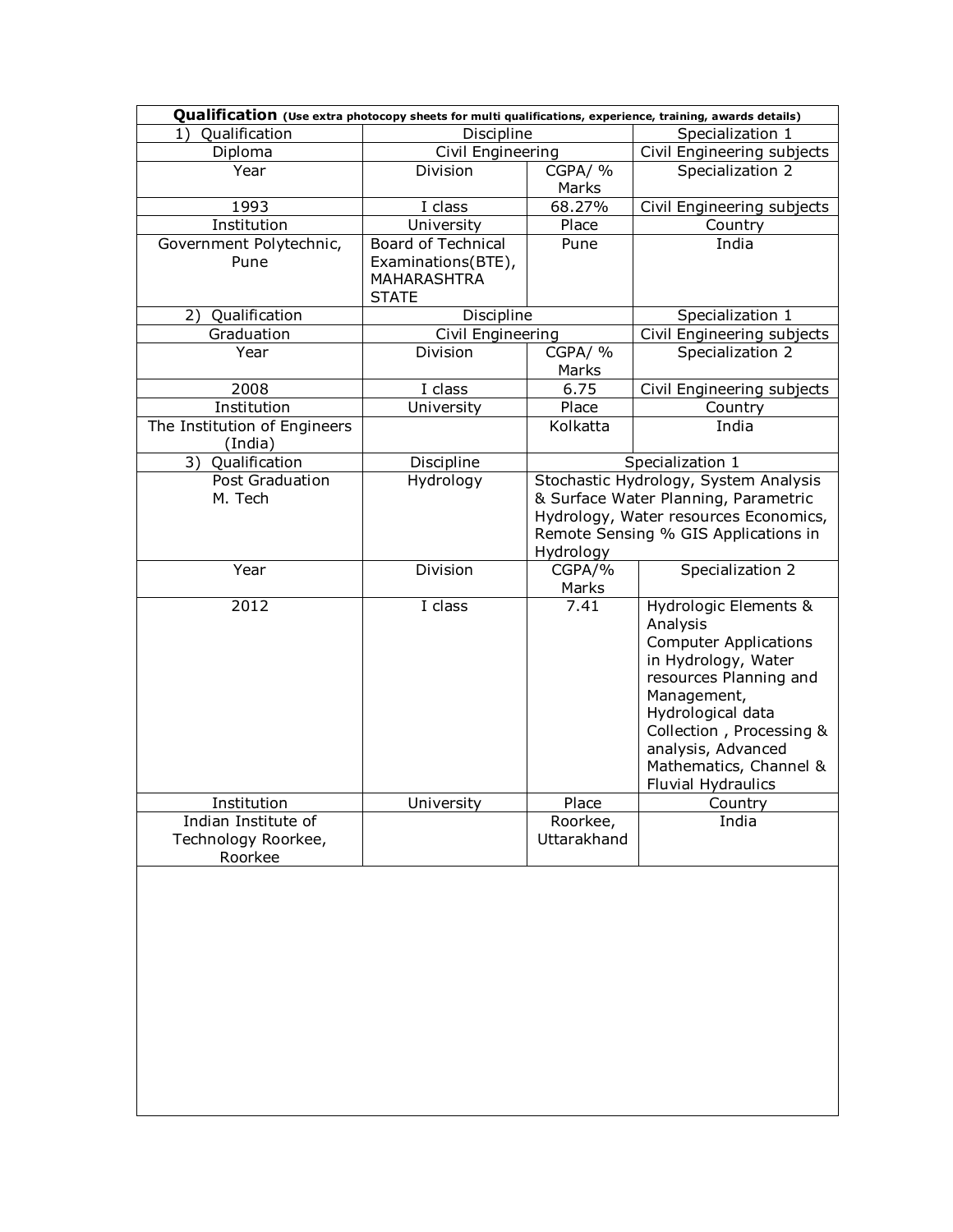| Qualification (Use extra photocopy sheets for multi qualifications, experience, training, awards details) |                             |                            |                                       |  |  |  |  |  |  |  |
|-----------------------------------------------------------------------------------------------------------|-----------------------------|----------------------------|---------------------------------------|--|--|--|--|--|--|--|
| <b>Qualification</b><br>1)                                                                                | Discipline                  |                            | Specialization 1                      |  |  |  |  |  |  |  |
| Diploma                                                                                                   | Civil Engineering           | Civil Engineering subjects |                                       |  |  |  |  |  |  |  |
| Year                                                                                                      | Division                    | CGPA/%                     | Specialization 2                      |  |  |  |  |  |  |  |
|                                                                                                           |                             | Marks                      |                                       |  |  |  |  |  |  |  |
| 1993                                                                                                      | I class                     | 68.27%                     | Civil Engineering subjects            |  |  |  |  |  |  |  |
| Institution                                                                                               | University                  | Place                      | Country                               |  |  |  |  |  |  |  |
| Government Polytechnic,                                                                                   | <b>Board of Technical</b>   | Pune                       | India                                 |  |  |  |  |  |  |  |
| Pune                                                                                                      | Examinations(BTE),          |                            |                                       |  |  |  |  |  |  |  |
|                                                                                                           | MAHARASHTRA<br><b>STATE</b> |                            |                                       |  |  |  |  |  |  |  |
| 2) Qualification                                                                                          | Discipline                  |                            | Specialization 1                      |  |  |  |  |  |  |  |
| Graduation                                                                                                | Civil Engineering           |                            | Civil Engineering subjects            |  |  |  |  |  |  |  |
| Year                                                                                                      | Division                    | CGPA/%                     | Specialization 2                      |  |  |  |  |  |  |  |
|                                                                                                           |                             | Marks                      |                                       |  |  |  |  |  |  |  |
| 2008                                                                                                      | I class                     | 6.75                       | Civil Engineering subjects            |  |  |  |  |  |  |  |
| Institution                                                                                               | University                  | Place                      | Country                               |  |  |  |  |  |  |  |
| The Institution of Engineers                                                                              |                             | Kolkatta                   | India                                 |  |  |  |  |  |  |  |
| (India)                                                                                                   |                             |                            |                                       |  |  |  |  |  |  |  |
| 3) Qualification                                                                                          | Discipline                  |                            | Specialization 1                      |  |  |  |  |  |  |  |
| Post Graduation                                                                                           | Hydrology                   |                            | Stochastic Hydrology, System Analysis |  |  |  |  |  |  |  |
| M. Tech                                                                                                   |                             |                            | & Surface Water Planning, Parametric  |  |  |  |  |  |  |  |
|                                                                                                           |                             |                            | Hydrology, Water resources Economics, |  |  |  |  |  |  |  |
|                                                                                                           |                             |                            | Remote Sensing % GIS Applications in  |  |  |  |  |  |  |  |
|                                                                                                           |                             | Hydrology                  |                                       |  |  |  |  |  |  |  |
| Year                                                                                                      | Division                    | CGPA/%                     | Specialization 2                      |  |  |  |  |  |  |  |
| 2012                                                                                                      | I class                     | Marks<br>7.41              | Hydrologic Elements &                 |  |  |  |  |  |  |  |
|                                                                                                           |                             |                            | Analysis                              |  |  |  |  |  |  |  |
|                                                                                                           |                             |                            | <b>Computer Applications</b>          |  |  |  |  |  |  |  |
|                                                                                                           |                             |                            | in Hydrology, Water                   |  |  |  |  |  |  |  |
|                                                                                                           |                             |                            | resources Planning and                |  |  |  |  |  |  |  |
|                                                                                                           |                             |                            | Management,                           |  |  |  |  |  |  |  |
|                                                                                                           |                             |                            | Hydrological data                     |  |  |  |  |  |  |  |
|                                                                                                           |                             |                            | Collection, Processing &              |  |  |  |  |  |  |  |
|                                                                                                           |                             |                            | analysis, Advanced                    |  |  |  |  |  |  |  |
|                                                                                                           |                             |                            | Mathematics, Channel &                |  |  |  |  |  |  |  |
|                                                                                                           |                             |                            | Fluvial Hydraulics                    |  |  |  |  |  |  |  |
| Institution                                                                                               | University                  | Place                      | Country                               |  |  |  |  |  |  |  |
| Indian Institute of                                                                                       |                             | Roorkee,                   | India                                 |  |  |  |  |  |  |  |
| Technology Roorkee,<br>Roorkee                                                                            |                             | Uttarakhand                |                                       |  |  |  |  |  |  |  |
|                                                                                                           |                             |                            |                                       |  |  |  |  |  |  |  |
|                                                                                                           |                             |                            |                                       |  |  |  |  |  |  |  |
|                                                                                                           |                             |                            |                                       |  |  |  |  |  |  |  |
|                                                                                                           |                             |                            |                                       |  |  |  |  |  |  |  |
|                                                                                                           |                             |                            |                                       |  |  |  |  |  |  |  |
|                                                                                                           |                             |                            |                                       |  |  |  |  |  |  |  |
|                                                                                                           |                             |                            |                                       |  |  |  |  |  |  |  |
|                                                                                                           |                             |                            |                                       |  |  |  |  |  |  |  |
|                                                                                                           |                             |                            |                                       |  |  |  |  |  |  |  |
|                                                                                                           |                             |                            |                                       |  |  |  |  |  |  |  |
|                                                                                                           |                             |                            |                                       |  |  |  |  |  |  |  |
|                                                                                                           |                             |                            |                                       |  |  |  |  |  |  |  |
|                                                                                                           |                             |                            |                                       |  |  |  |  |  |  |  |